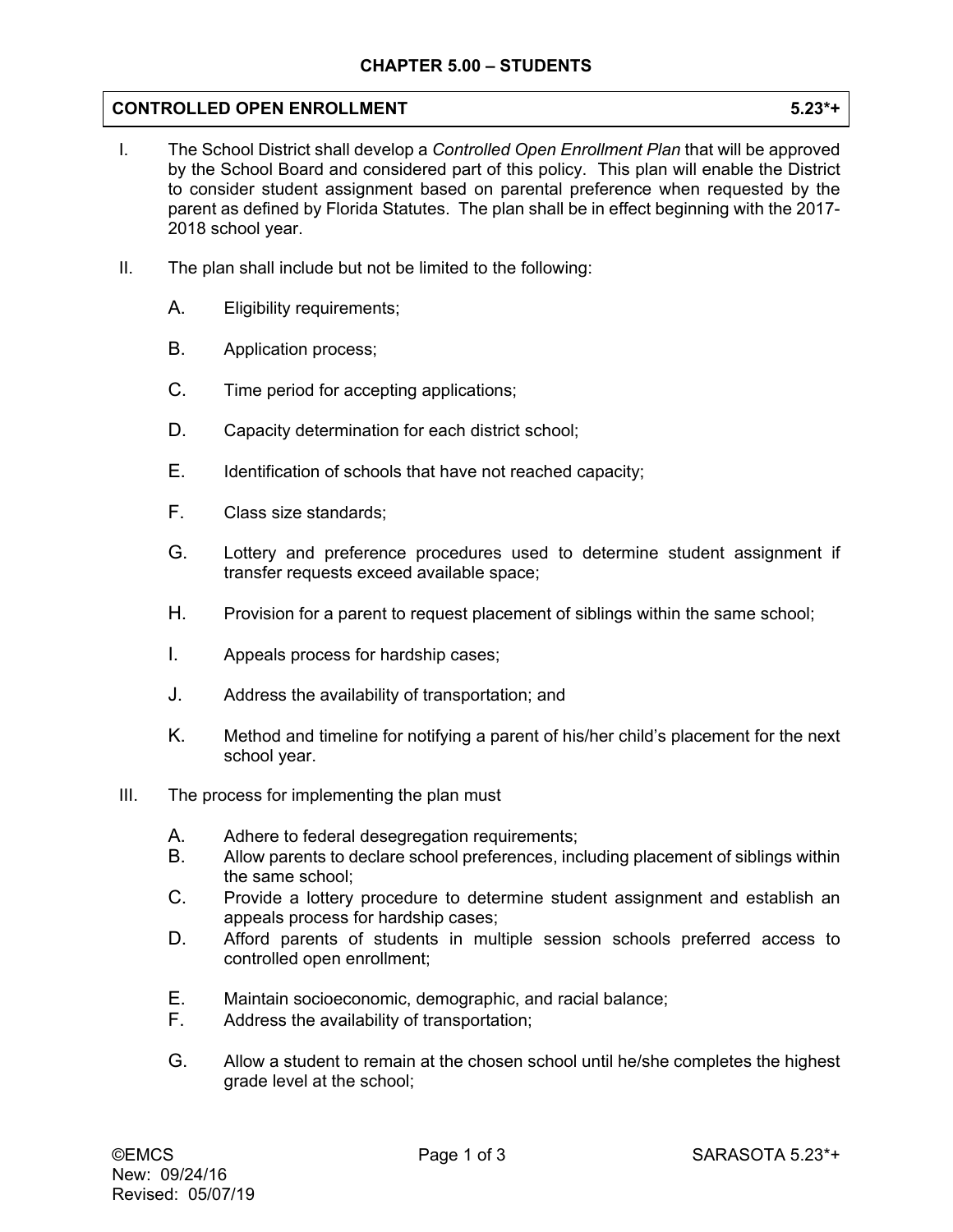## **CONTROLLED OPEN ENROLLMENT 5.23\*+**

- I. The School District shall develop a *Controlled Open Enrollment Plan* that will be approved by the School Board and considered part of this policy. This plan will enable the District to consider student assignment based on parental preference when requested by the parent as defined by Florida Statutes. The plan shall be in effect beginning with the 2017- 2018 school year.
- II. The plan shall include but not be limited to the following:
	- A. Eligibility requirements;
	- B. Application process;
	- C. Time period for accepting applications;
	- D. Capacity determination for each district school;
	- E. Identification of schools that have not reached capacity;
	- F. Class size standards;
	- G. Lottery and preference procedures used to determine student assignment if transfer requests exceed available space;
	- H. Provision for a parent to request placement of siblings within the same school;
	- I. Appeals process for hardship cases;
	- J. Address the availability of transportation; and
	- K. Method and timeline for notifying a parent of his/her child's placement for the next school year.
- III. The process for implementing the plan must
	- A. Adhere to federal desegregation requirements;
	- B. Allow parents to declare school preferences, including placement of siblings within the same school;
	- C. Provide a lottery procedure to determine student assignment and establish an appeals process for hardship cases;
	- D. Afford parents of students in multiple session schools preferred access to controlled open enrollment;
	- E. Maintain socioeconomic, demographic, and racial balance;
	- F. Address the availability of transportation;
	- G. Allow a student to remain at the chosen school until he/she completes the highest grade level at the school;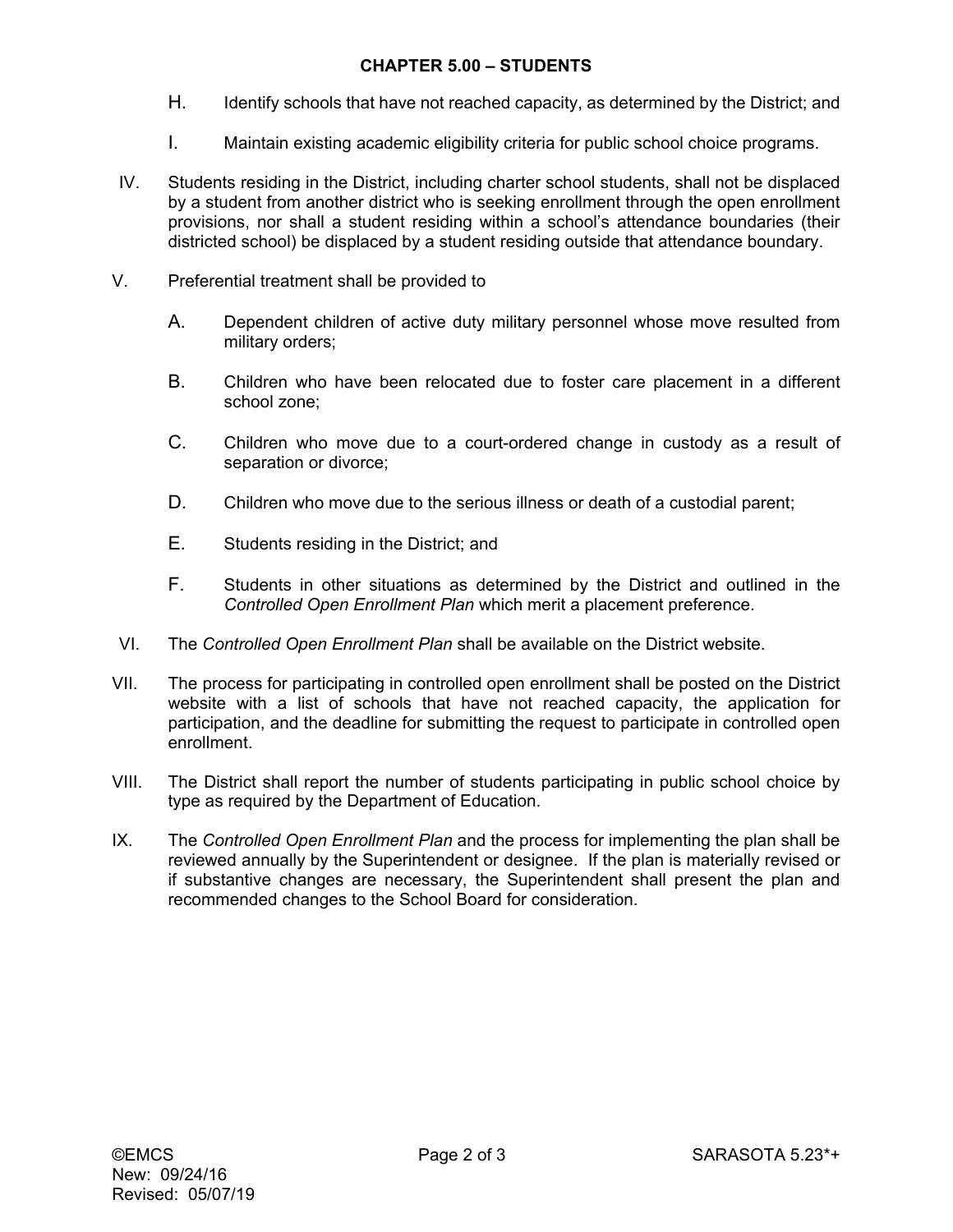## **CHAPTER 5.00 – STUDENTS**

- H. Identify schools that have not reached capacity, as determined by the District; and
- I. Maintain existing academic eligibility criteria for public school choice programs.
- IV. Students residing in the District, including charter school students, shall not be displaced by a student from another district who is seeking enrollment through the open enrollment provisions, nor shall a student residing within a school's attendance boundaries (their districted school) be displaced by a student residing outside that attendance boundary.
- V. Preferential treatment shall be provided to
	- A. Dependent children of active duty military personnel whose move resulted from military orders;
	- B. Children who have been relocated due to foster care placement in a different school zone;
	- C. Children who move due to a court-ordered change in custody as a result of separation or divorce;
	- D. Children who move due to the serious illness or death of a custodial parent;
	- E. Students residing in the District; and
	- F. Students in other situations as determined by the District and outlined in the *Controlled Open Enrollment Plan* which merit a placement preference.
- VI. The *Controlled Open Enrollment Plan* shall be available on the District website.
- VII. The process for participating in controlled open enrollment shall be posted on the District website with a list of schools that have not reached capacity, the application for participation, and the deadline for submitting the request to participate in controlled open enrollment.
- VIII. The District shall report the number of students participating in public school choice by type as required by the Department of Education.
- IX. The *Controlled Open Enrollment Plan* and the process for implementing the plan shall be reviewed annually by the Superintendent or designee. If the plan is materially revised or if substantive changes are necessary, the Superintendent shall present the plan and recommended changes to the School Board for consideration.